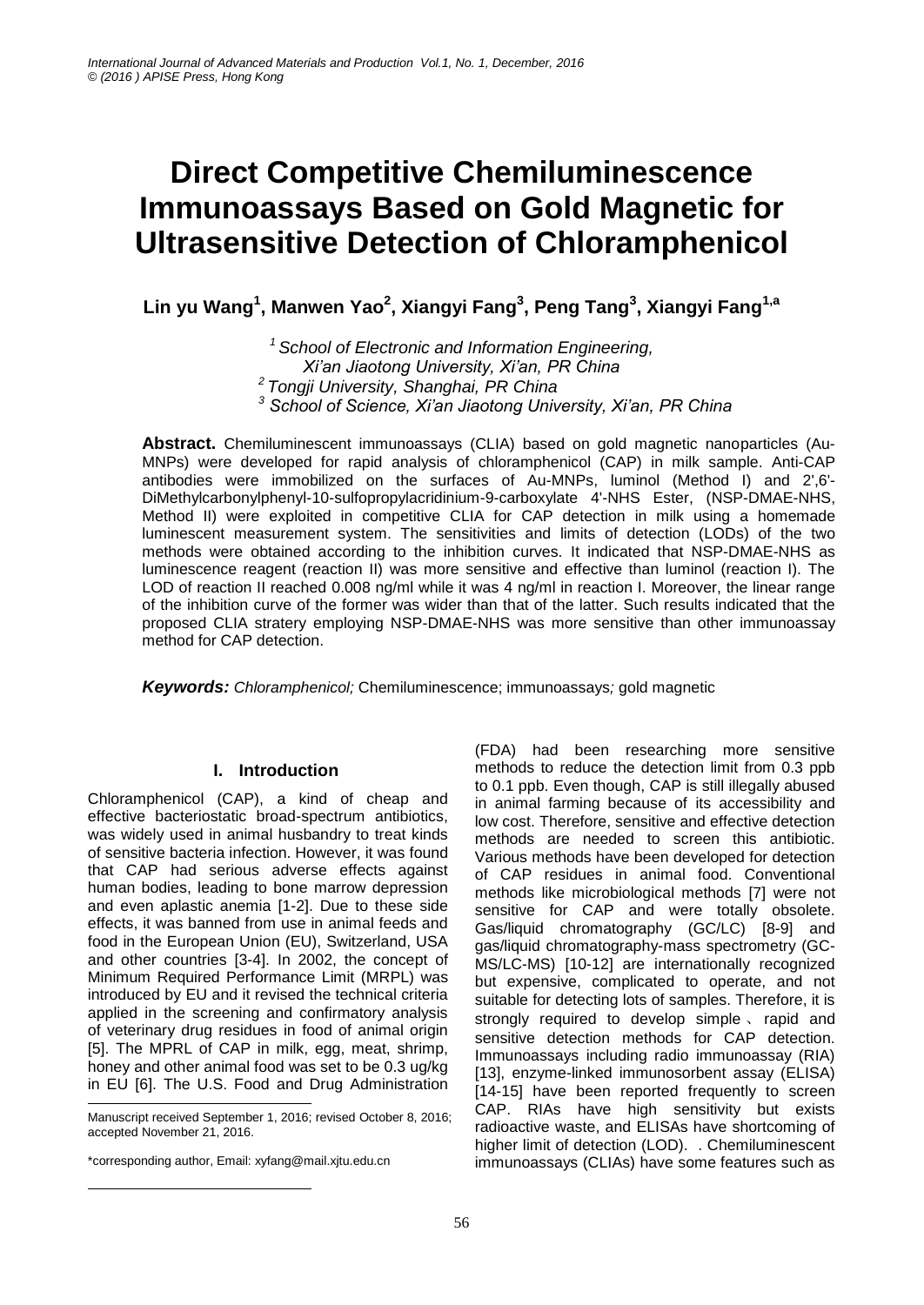# **Direct Competitive Chemiluminescence Immunoassays Based on Gold Magnetic for Ultrasensitive Detection of Chloramphenicol**

**Lin yu Wang<sup>1</sup> , Manwen Yao<sup>2</sup> , Xiangyi Fang<sup>3</sup> , Peng Tang<sup>3</sup> , Xiangyi Fang1,a**

*School of Electronic and Information Engineering, Xi'an Jiaotong University, Xi'an, PR China Tongji University, Shanghai, PR China School of Science, Xi'an Jiaotong University, Xi'an, PR China*

**Abstract.** Chemiluminescent immunoassays (CLIA) based on gold magnetic nanoparticles (Au-MNPs) were developed for rapid analysis of chloramphenicol (CAP) in milk sample. Anti-CAP antibodies were immobilized on the surfaces of Au-MNPs, luminol (Method I) and 2',6'- DiMethylcarbonylphenyl-10-sulfopropylacridinium-9-carboxylate 4'-NHS Ester, (NSP-DMAE-NHS, Method II) were exploited in competitive CLIA for CAP detection in milk using a homemade luminescent measurement system. The sensitivities and limits of detection (LODs) of the two methods were obtained according to the inhibition curves. It indicated that NSP-DMAE-NHS as luminescence reagent (reaction II) was more sensitive and effective than luminol (reaction I). The LOD of reaction II reached 0.008 ng/ml while it was 4 ng/ml in reaction I. Moreover, the linear range of the inhibition curve of the former was wider than that of the latter. Such results indicated that the proposed CLIA stratery employing NSP-DMAE-NHS was more sensitive than other immunoassay method for CAP detection.

*Keywords: Chloramphenicol;* Chemiluminescence; immunoassays*;* gold magnetic

# **I. Introduction**

Chloramphenicol (CAP), a kind of cheap and effective bacteriostatic broad-spectrum antibiotics, was widely used in animal husbandry to treat kinds of sensitive bacteria infection. However, it was found that CAP had serious adverse effects against human bodies, leading to bone marrow depression and even aplastic anemia [1-2]. Due to these side effects, it was banned from use in animal feeds and food in the European Union (EU), Switzerland, USA and other countries [3-4]. In 2002, the concept of Minimum Required Performance Limit (MRPL) was introduced by EU and it revised the technical criteria applied in the screening and confirmatory analysis of veterinary drug residues in food of animal origin [5]. The MPRL of CAP in milk, egg, meat, shrimp, honey and other animal food was set to be 0.3 ug/kg in EU [6]. The U.S. Food and Drug Administration

1 Manuscript received September 1, 2016; revised October 8, 2016; accepted November 21, 2016.

\*corresponding author, Email: xyfang@mail.xjtu.edu.cn

 $\overline{a}$ 

(FDA) had been researching more sensitive methods to reduce the detection limit from 0.3 ppb to 0.1 ppb. Even though, CAP is still illegally abused in animal farming because of its accessibility and low cost. Therefore, sensitive and effective detection methods are needed to screen this antibiotic. Various methods have been developed for detection of CAP residues in animal food. Conventional methods like microbiological methods [7] were not sensitive for CAP and were totally obsolete. Gas/liquid chromatography (GC/LC) [8-9] and gas/liquid chromatography-mass spectrometry (GC-MS/LC-MS) [10-12] are internationally recognized but expensive, complicated to operate, and not suitable for detecting lots of samples. Therefore, it is strongly required to develop simple 、 rapid and sensitive detection methods for CAP detection. Immunoassays including radio immunoassay (RIA) [13], enzyme-linked immunosorbent assay (ELISA) [14-15] have been reported frequently to screen CAP. RIAs have high sensitivity but exists radioactive waste, and ELISAs have shortcoming of higher limit of detection (LOD). . Chemiluminescent immunoassays (CLIAs) have some features such as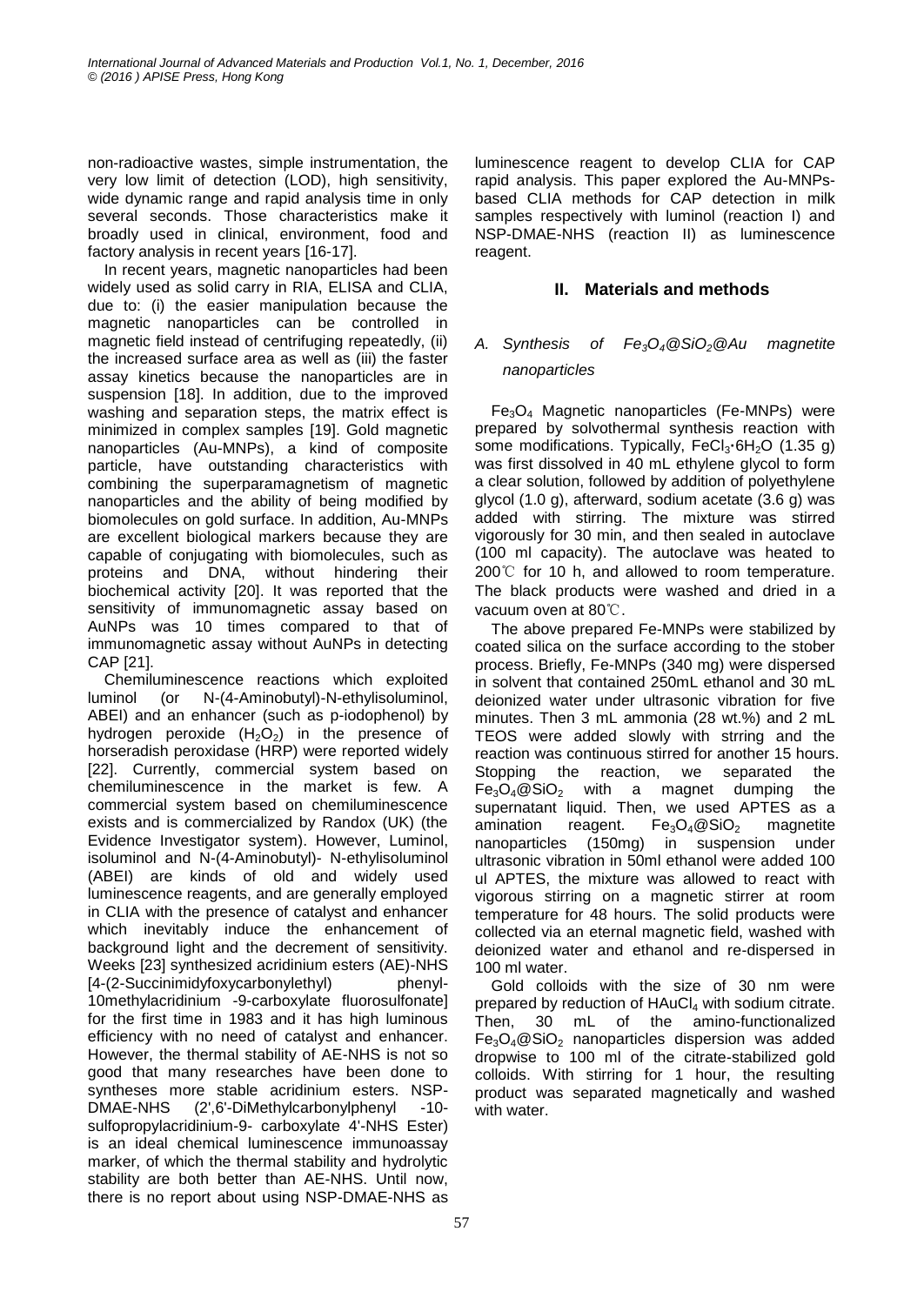non-radioactive wastes, simple instrumentation, the very low limit of detection (LOD), high sensitivity, wide dynamic range and rapid analysis time in only several seconds. Those characteristics make it broadly used in clinical, environment, food and factory analysis in recent years [16-17].

In recent years, magnetic nanoparticles had been widely used as solid carry in RIA, ELISA and CLIA, due to: (i) the easier manipulation because the magnetic nanoparticles can be controlled in magnetic field instead of centrifuging repeatedly, (ii) the increased surface area as well as (iii) the faster assay kinetics because the nanoparticles are in suspension [18]. In addition, due to the improved washing and separation steps, the matrix effect is minimized in complex samples [19]. Gold magnetic nanoparticles (Au-MNPs), a kind of composite particle, have outstanding characteristics with combining the superparamagnetism of magnetic nanoparticles and the ability of being modified by biomolecules on gold surface. In addition, Au-MNPs are excellent biological markers because they are capable of conjugating with biomolecules, such as proteins and DNA, without hindering their biochemical activity [20]. It was reported that the sensitivity of immunomagnetic assay based on AuNPs was 10 times compared to that of immunomagnetic assay without AuNPs in detecting CAP [21].

Chemiluminescence reactions which exploited luminol (or N-(4-Aminobutyl)-N-ethylisoluminol, ABEI) and an enhancer (such as p-iodophenol) by hydrogen peroxide  $(H<sub>2</sub>O<sub>2</sub>)$  in the presence of horseradish peroxidase (HRP) were reported widely [22]. Currently, commercial system based on chemiluminescence in the market is few. A commercial system based on chemiluminescence exists and is commercialized by Randox (UK) (the Evidence Investigator system). However, Luminol, isoluminol and N-(4-Aminobutyl)- N-ethylisoluminol (ABEI) are kinds of old and widely used luminescence reagents, and are generally employed in CLIA with the presence of catalyst and enhancer which inevitably induce the enhancement of background light and the decrement of sensitivity. Weeks [23] synthesized acridinium esters (AE)-NHS [4-(2-Succinimidyfoxycarbonylethyl) phenyl-10methylacridinium -9-carboxylate fluorosulfonate] for the first time in 1983 and it has high luminous efficiency with no need of catalyst and enhancer. However, the thermal stability of AE-NHS is not so good that many researches have been done to syntheses more stable acridinium esters. NSP-DMAE-NHS (2',6'-DiMethylcarbonylphenyl -10 sulfopropylacridinium-9- carboxylate 4'-NHS Ester) is an ideal chemical luminescence immunoassay marker, of which the thermal stability and hydrolytic stability are both better than AE-NHS. Until now, there is no report about using NSP-DMAE-NHS as

luminescence reagent to develop CLIA for CAP rapid analysis. This paper explored the Au-MNPsbased CLIA methods for CAP detection in milk samples respectively with luminol (reaction I) and NSP-DMAE-NHS (reaction II) as luminescence reagent.

# **II. Materials and methods**

# *A. Synthesis of Fe3O4@SiO2@Au magnetite nanoparticles*

Fe3O<sup>4</sup> Magnetic nanoparticles (Fe-MNPs) were prepared by solvothermal synthesis reaction with some modifications. Typically, FeCl<sub>3</sub>·6H<sub>2</sub>O (1.35 g) was first dissolved in 40 mL ethylene glycol to form a clear solution, followed by addition of polyethylene glycol (1.0 g), afterward, sodium acetate (3.6 g) was added with stirring. The mixture was stirred vigorously for 30 min, and then sealed in autoclave (100 ml capacity). The autoclave was heated to 200℃ for 10 h, and allowed to room temperature. The black products were washed and dried in a vacuum oven at 80℃.

The above prepared Fe-MNPs were stabilized by coated silica on the surface according to the stober process. Briefly, Fe-MNPs (340 mg) were dispersed in solvent that contained 250mL ethanol and 30 mL deionized water under ultrasonic vibration for five minutes. Then 3 mL ammonia (28 wt.%) and 2 mL TEOS were added slowly with strring and the reaction was continuous stirred for another 15 hours. Stopping the reaction, we separated the  $Fe<sub>3</sub>O<sub>4</sub> @ SiO<sub>2</sub>$  with a magnet dumping the supernatant liquid. Then, we used APTES as a amination reagent.  $Fe<sub>3</sub>O<sub>4</sub>@SiO<sub>2</sub>$  magnetite nanoparticles (150mg) in suspension under ultrasonic vibration in 50ml ethanol were added 100 ul APTES, the mixture was allowed to react with vigorous stirring on a magnetic stirrer at room temperature for 48 hours. The solid products were collected via an eternal magnetic field, washed with deionized water and ethanol and re-dispersed in 100 ml water.

Gold colloids with the size of 30 nm were prepared by reduction of  $HAuCl<sub>4</sub>$  with sodium citrate. Then, 30 mL of the amino-functionalized  $Fe<sub>3</sub>O<sub>4</sub>@SiO<sub>2</sub>$  nanoparticles dispersion was added dropwise to 100 ml of the citrate-stabilized gold colloids. With stirring for 1 hour, the resulting product was separated magnetically and washed with water.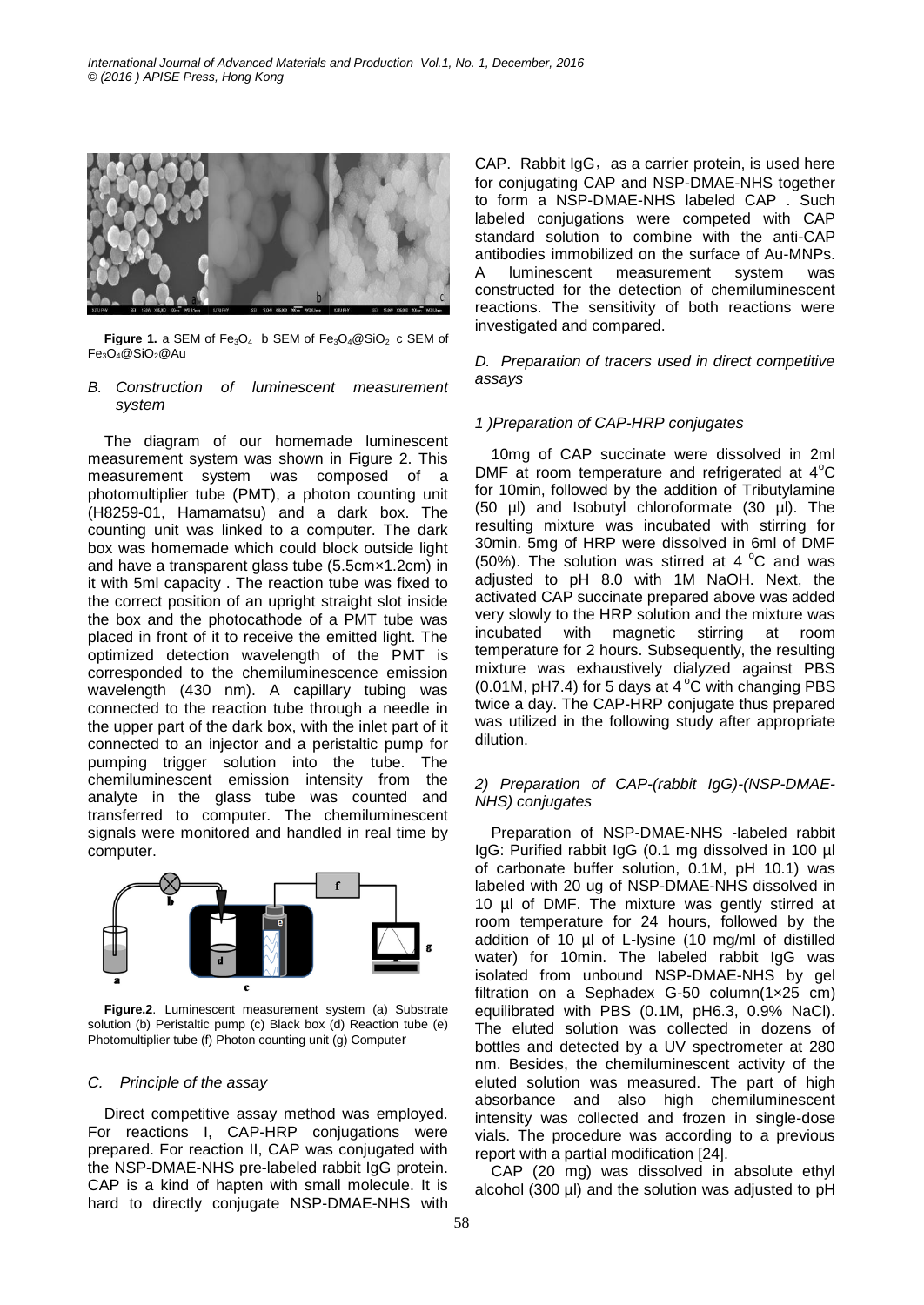

Figure 1. a SEM of Fe<sub>3</sub>O<sub>4</sub> b SEM of Fe<sub>3</sub>O<sub>4</sub>@SiO<sub>2</sub> c SEM of  $Fe<sub>3</sub>O<sub>4</sub>@SiO<sub>2</sub>@Au$ 

#### *B. Construction of luminescent measurement system*

The diagram of our homemade luminescent measurement system was shown in Figure 2. This measurement system was composed of a photomultiplier tube (PMT), a photon counting unit (H8259-01, Hamamatsu) and a dark box. The counting unit was linked to a computer. The dark box was homemade which could block outside light and have a transparent glass tube (5.5cm×1.2cm) in it with 5ml capacity . The reaction tube was fixed to the correct position of an upright straight slot inside the box and the photocathode of a PMT tube was placed in front of it to receive the emitted light. The optimized detection wavelength of the PMT is corresponded to the chemiluminescence emission wavelength (430 nm). A capillary tubing was connected to the reaction tube through a needle in the upper part of the dark box, with the inlet part of it connected to an injector and a peristaltic pump for pumping trigger solution into the tube. The chemiluminescent emission intensity from the analyte in the glass tube was counted and transferred to computer. The chemiluminescent signals were monitored and handled in real time by computer.



**Figure.2**. Luminescent measurement system (a) Substrate solution (b) Peristaltic pump (c) Black box (d) Reaction tube (e) Photomultiplier tube (f) Photon counting unit (g) Computer

## *C. Principle of the assay*

Direct competitive assay method was employed. For reactions I, CAP-HRP conjugations were prepared. For reaction II, CAP was conjugated with the NSP-DMAE-NHS pre-labeled rabbit IgG protein. CAP is a kind of hapten with small molecule. It is hard to directly conjugate NSP-DMAE-NHS with

CAP. Rabbit IgG, as a carrier protein, is used here for conjugating CAP and NSP-DMAE-NHS together to form a NSP-DMAE-NHS labeled CAP . Such labeled conjugations were competed with CAP standard solution to combine with the anti-CAP antibodies immobilized on the surface of Au-MNPs. A luminescent measurement system was constructed for the detection of chemiluminescent reactions. The sensitivity of both reactions were investigated and compared.

*D. Preparation of tracers used in direct competitive assays*

#### *1 )Preparation of CAP-HRP conjugates*

10mg of CAP succinate were dissolved in 2ml DMF at room temperature and refrigerated at  $4^{\circ}$ C for 10min, followed by the addition of Tributylamine (50 µl) and Isobutyl chloroformate (30 µl). The resulting mixture was incubated with stirring for 30min. 5mg of HRP were dissolved in 6ml of DMF (50%). The solution was stirred at 4  $^{\circ}$ C and was adjusted to pH 8.0 with 1M NaOH. Next, the activated CAP succinate prepared above was added very slowly to the HRP solution and the mixture was incubated with magnetic stirring at room temperature for 2 hours. Subsequently, the resulting mixture was exhaustively dialyzed against PBS (0.01M, pH7.4) for 5 days at 4  $^{\circ}$ C with changing PBS twice a day. The CAP-HRP conjugate thus prepared was utilized in the following study after appropriate dilution.

#### *2) Preparation of CAP-(rabbit IgG)-(NSP-DMAE-NHS) conjugates*

Preparation of NSP-DMAE-NHS -labeled rabbit IgG: Purified rabbit IgG (0.1 mg dissolved in 100 µl of carbonate buffer solution, 0.1M, pH 10.1) was labeled with 20 ug of NSP-DMAE-NHS dissolved in 10 µl of DMF. The mixture was gently stirred at room temperature for 24 hours, followed by the addition of 10 µl of L-lysine (10 mg/ml of distilled water) for 10min. The labeled rabbit IgG was isolated from unbound NSP-DMAE-NHS by gel filtration on a Sephadex G-50 column(1×25 cm) equilibrated with PBS (0.1M, pH6.3, 0.9% NaCl). The eluted solution was collected in dozens of bottles and detected by a UV spectrometer at 280 nm. Besides, the chemiluminescent activity of the eluted solution was measured. The part of high absorbance and also high chemiluminescent intensity was collected and frozen in single-dose vials. The procedure was according to a previous report with a partial modification [24].

CAP (20 mg) was dissolved in absolute ethyl alcohol (300  $\mu$ I) and the solution was adjusted to pH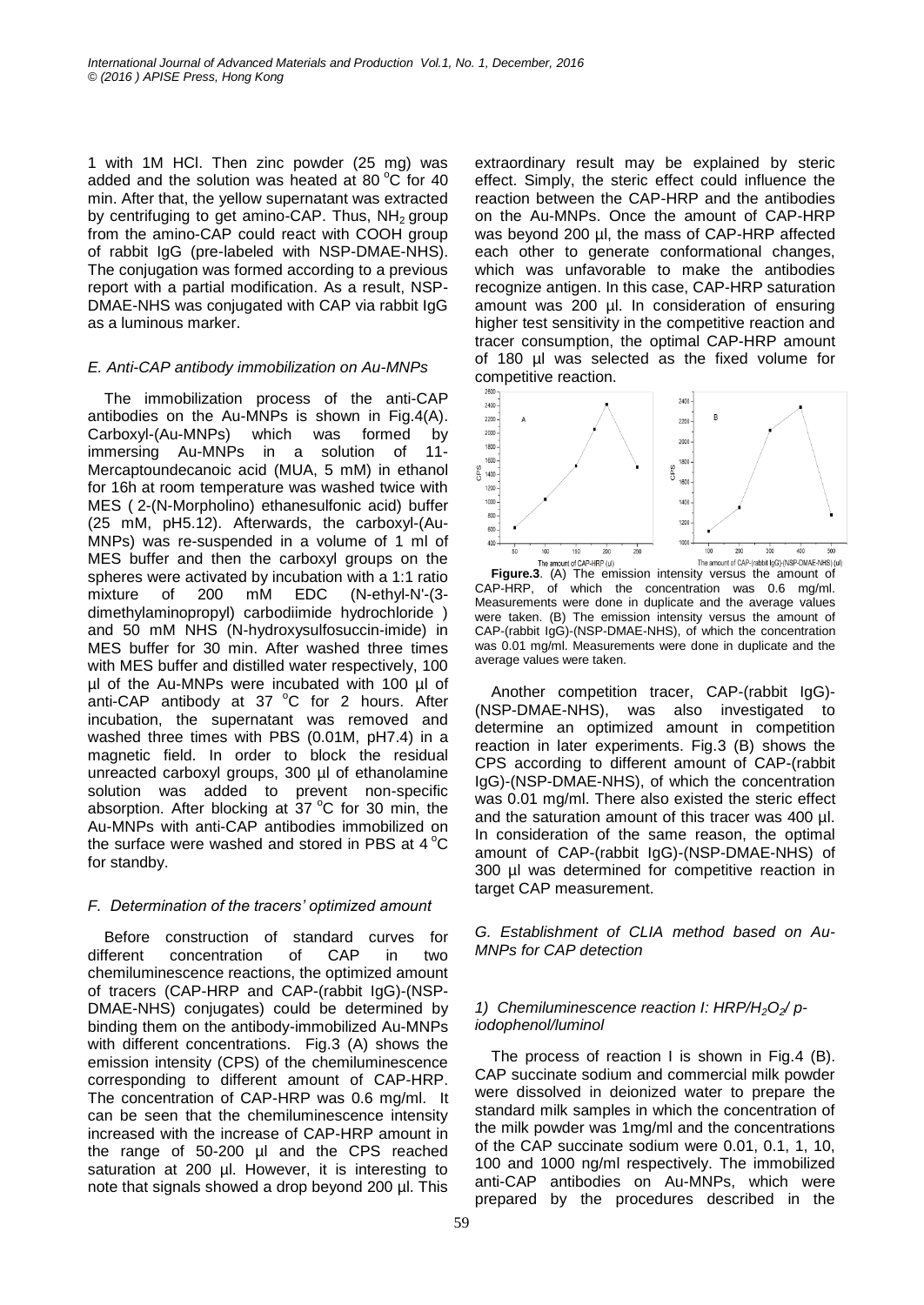1 with 1M HCl. Then zinc powder (25 mg) was added and the solution was heated at 80 $\degree$ C for 40 min. After that, the yellow supernatant was extracted by centrifuging to get amino-CAP. Thus,  $NH<sub>2</sub>$  group from the amino-CAP could react with COOH group of rabbit IgG (pre-labeled with NSP-DMAE-NHS). The conjugation was formed according to a previous report with a partial modification. As a result, NSP-DMAE-NHS was conjugated with CAP via rabbit IgG as a luminous marker.

## *E. Anti-CAP antibody immobilization on Au-MNPs*

The immobilization process of the anti-CAP antibodies on the Au-MNPs is shown in Fig.4(A). Carboxyl-(Au-MNPs) which was formed by immersing Au-MNPs in a solution of 11- Mercaptoundecanoic acid (MUA, 5 mM) in ethanol for 16h at room temperature was washed twice with MES ( 2-(N-Morpholino) ethanesulfonic acid) buffer (25 mM, pH5.12). Afterwards, the carboxyl-(Au-MNPs) was re-suspended in a volume of 1 ml of MES buffer and then the carboxyl groups on the spheres were activated by incubation with a 1:1 ratio mixture of 200 mM EDC (N-ethyl-N'-(3 dimethylaminopropyl) carbodiimide hydrochloride ) and 50 mM NHS (N-hydroxysulfosuccin-imide) in MES buffer for 30 min. After washed three times with MES buffer and distilled water respectively, 100 µl of the Au-MNPs were incubated with 100 µl of anti-CAP antibody at 37  $^{\circ}$ C for 2 hours. After incubation, the supernatant was removed and washed three times with PBS (0.01M, pH7.4) in a magnetic field. In order to block the residual unreacted carboxyl groups, 300 µl of ethanolamine solution was added to prevent non-specific absorption. After blocking at  $37^{\circ}$ C for 30 min, the Au-MNPs with anti-CAP antibodies immobilized on the surface were washed and stored in PBS at  $4^{\circ}$ C for standby.

# *F. Determination of the tracers' optimized amount*

Before construction of standard curves for different concentration of CAP in two chemiluminescence reactions, the optimized amount of tracers (CAP-HRP and CAP-(rabbit IgG)-(NSP-DMAE-NHS) conjugates) could be determined by binding them on the antibody-immobilized Au-MNPs with different concentrations. Fig.3 (A) shows the emission intensity (CPS) of the chemiluminescence corresponding to different amount of CAP-HRP. The concentration of CAP-HRP was 0.6 mg/ml. It can be seen that the chemiluminescence intensity increased with the increase of CAP-HRP amount in the range of 50-200 µl and the CPS reached saturation at 200 µl. However, it is interesting to note that signals showed a drop beyond 200 µl. This

extraordinary result may be explained by steric effect. Simply, the steric effect could influence the reaction between the CAP-HRP and the antibodies on the Au-MNPs. Once the amount of CAP-HRP was beyond 200 µl, the mass of CAP-HRP affected each other to generate conformational changes, which was unfavorable to make the antibodies recognize antigen. In this case, CAP-HRP saturation amount was 200 µl. In consideration of ensuring higher test sensitivity in the competitive reaction and tracer consumption, the optimal CAP-HRP amount of 180 µl was selected as the fixed volume for competitive reaction.



**Figure.3**. (A) The emission intensity versus the amount of CAP-HRP, of which the concentration was 0.6 mg/ml. Measurements were done in duplicate and the average values were taken. (B) The emission intensity versus the amount of CAP-(rabbit IgG)-(NSP-DMAE-NHS), of which the concentration was 0.01 mg/ml. Measurements were done in duplicate and the average values were taken.

Another competition tracer, CAP-(rabbit IgG)- (NSP-DMAE-NHS), was also investigated to determine an optimized amount in competition reaction in later experiments. Fig.3 (B) shows the CPS according to different amount of CAP-(rabbit IgG)-(NSP-DMAE-NHS), of which the concentration was 0.01 mg/ml. There also existed the steric effect and the saturation amount of this tracer was 400 µl. In consideration of the same reason, the optimal amount of CAP-(rabbit IgG)-(NSP-DMAE-NHS) of 300 µl was determined for competitive reaction in target CAP measurement.

*G. Establishment of CLIA method based on Au-MNPs for CAP detection*

## *1) Chemiluminescence reaction I: HRP/H2O2/ piodophenol/luminol*

The process of reaction I is shown in Fig.4 (B). CAP succinate sodium and commercial milk powder were dissolved in deionized water to prepare the standard milk samples in which the concentration of the milk powder was 1mg/ml and the concentrations of the CAP succinate sodium were 0.01, 0.1, 1, 10, 100 and 1000 ng/ml respectively. The immobilized anti-CAP antibodies on Au-MNPs, which were prepared by the procedures described in the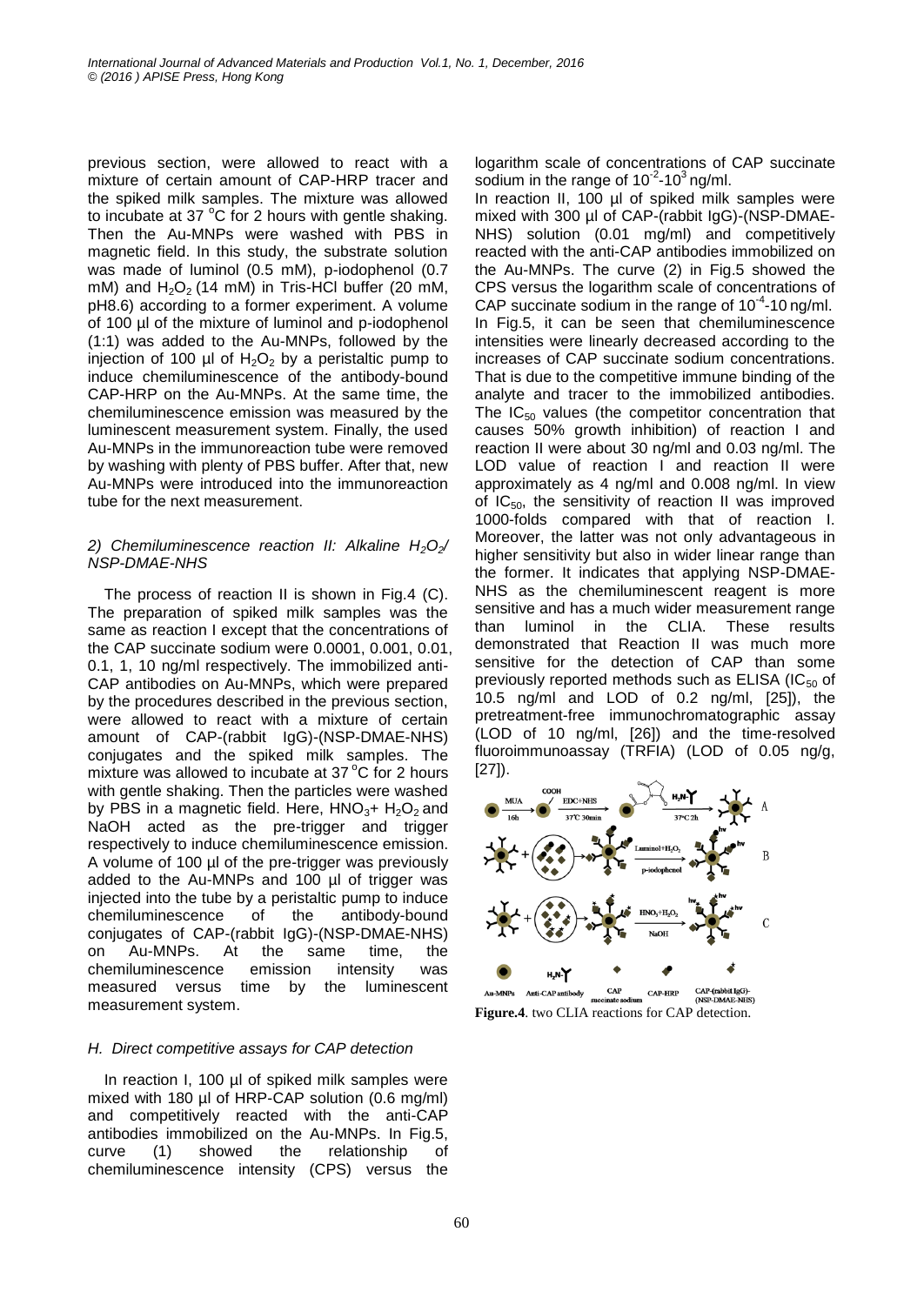previous section, were allowed to react with a mixture of certain amount of CAP-HRP tracer and the spiked milk samples. The mixture was allowed to incubate at 37 $\degree$ C for 2 hours with gentle shaking. Then the Au-MNPs were washed with PBS in magnetic field. In this study, the substrate solution was made of luminol (0.5 mM), p-iodophenol (0.7 mM) and  $H_2O_2$  (14 mM) in Tris-HCl buffer (20 mM, pH8.6) according to a former experiment. A volume of 100 µl of the mixture of luminol and p-iodophenol (1:1) was added to the Au-MNPs, followed by the injection of 100 µl of  $H_2O_2$  by a peristaltic pump to induce chemiluminescence of the antibody-bound CAP-HRP on the Au-MNPs. At the same time, the chemiluminescence emission was measured by the luminescent measurement system. Finally, the used Au-MNPs in the immunoreaction tube were removed by washing with plenty of PBS buffer. After that, new Au-MNPs were introduced into the immunoreaction tube for the next measurement.

## *2) Chemiluminescence reaction II: Alkaline H2O2/ NSP-DMAE-NHS*

The process of reaction II is shown in Fig.4 (C). The preparation of spiked milk samples was the same as reaction I except that the concentrations of the CAP succinate sodium were 0.0001, 0.001, 0.01, 0.1, 1, 10 ng/ml respectively. The immobilized anti-CAP antibodies on Au-MNPs, which were prepared by the procedures described in the previous section, were allowed to react with a mixture of certain amount of CAP-(rabbit IgG)-(NSP-DMAE-NHS) conjugates and the spiked milk samples. The mixture was allowed to incubate at  $37^{\circ}$ C for 2 hours with gentle shaking. Then the particles were washed by PBS in a magnetic field. Here,  $HNO<sub>3</sub>+H<sub>2</sub>O<sub>2</sub>$  and NaOH acted as the pre-trigger and trigger respectively to induce chemiluminescence emission. A volume of 100 µl of the pre-trigger was previously added to the Au-MNPs and 100 µl of trigger was injected into the tube by a peristaltic pump to induce chemiluminescence of the antibody-bound conjugates of CAP-(rabbit IgG)-(NSP-DMAE-NHS) on Au-MNPs. At the same time, the chemiluminescence emission intensity was measured versus time by the luminescent measurement system.

## *H. Direct competitive assays for CAP detection*

In reaction I, 100 µl of spiked milk samples were mixed with 180 µl of HRP-CAP solution (0.6 mg/ml) and competitively reacted with the anti-CAP antibodies immobilized on the Au-MNPs. In Fig.5, curve (1) showed the relationship of chemiluminescence intensity (CPS) versus the logarithm scale of concentrations of CAP succinate sodium in the range of  $10^{-2}$ -10<sup>3</sup> ng/ml.

In reaction II, 100 µl of spiked milk samples were mixed with 300 µl of CAP-(rabbit IgG)-(NSP-DMAE-NHS) solution (0.01 mg/ml) and competitively reacted with the anti-CAP antibodies immobilized on the Au-MNPs. The curve (2) in Fig.5 showed the CPS versus the logarithm scale of concentrations of CAP succinate sodium in the range of  $10^{-4}$ -10 ng/ml. In Fig.5, it can be seen that chemiluminescence intensities were linearly decreased according to the increases of CAP succinate sodium concentrations. That is due to the competitive immune binding of the analyte and tracer to the immobilized antibodies. The  $IC_{50}$  values (the competitor concentration that causes 50% growth inhibition) of reaction I and reaction II were about 30 ng/ml and 0.03 ng/ml. The LOD value of reaction I and reaction II were approximately as 4 ng/ml and 0.008 ng/ml. In view of  $IC_{50}$ , the sensitivity of reaction II was improved 1000-folds compared with that of reaction I. Moreover, the latter was not only advantageous in higher sensitivity but also in wider linear range than the former. It indicates that applying NSP-DMAE-NHS as the chemiluminescent reagent is more sensitive and has a much wider measurement range than luminol in the CLIA. These results demonstrated that Reaction II was much more sensitive for the detection of CAP than some previously reported methods such as  $ELISA$  (IC $_{50}$  of 10.5 ng/ml and LOD of 0.2 ng/ml, [25]), the pretreatment-free immunochromatographic assay (LOD of 10 ng/ml, [26]) and the time-resolved fluoroimmunoassay (TRFIA) (LOD of 0.05 ng/g, [27]).



CAP-(rabbit IgG)-<br>(NSP-DMAE-NHS DMAE-NHS **Figure.4**. two CLIA reactions for CAP detection.